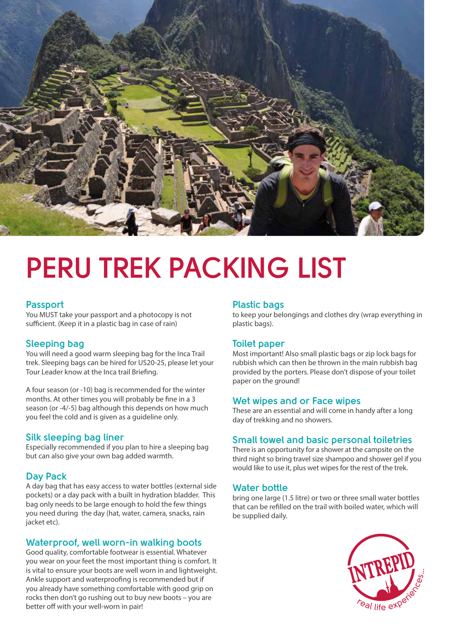

# **PERU TREK PACKING LIST**

### **Passport**

You MUST take your passport and a photocopy is not sufficient. (Keep it in a plastic bag in case of rain)

## **Sleeping bag**

You will need a good warm sleeping bag for the Inca Trail trek. Sleeping bags can be hired for US20-25, please let your Tour Leader know at the Inca trail Briefing.

A four season (or -10) bag is recommended for the winter months. At other times you will probably be fine in a 3 season (or -4/-5) bag although this depends on how much you feel the cold and is given as a guideline only.

### **Silk sleeping bag liner**

Especially recommended if you plan to hire a sleeping bag but can also give your own bag added warmth.

### **Day Pack**

A day bag that has easy access to water bottles (external side pockets) or a day pack with a built in hydration bladder. This bag only needs to be large enough to hold the few things you need during the day (hat, water, camera, snacks, rain jacket etc).

### **Waterproof, well worn-in walking boots**

Good quality, comfortable footwear is essential. Whatever you wear on your feet the most important thing is comfort. It is vital to ensure your boots are well worn in and lightweight. Ankle support and waterproofing is recommended but if you already have something comfortable with good grip on rocks then don't go rushing out to buy new boots – you are better off with your well-worn in pair!

#### **Plastic bags**

to keep your belongings and clothes dry (wrap everything in plastic bags).

### **Toilet paper**

Most important! Also small plastic bags or zip lock bags for rubbish which can then be thrown in the main rubbish bag provided by the porters. Please don't dispose of your toilet paper on the ground!

### **Wet wipes and or Face wipes**

These are an essential and will come in handy after a long day of trekking and no showers.

### **Small towel and basic personal toiletries**

There is an opportunity for a shower at the campsite on the third night so bring travel size shampoo and shower gel if you would like to use it, plus wet wipes for the rest of the trek.

#### **Water bottle**

bring one large (1.5 litre) or two or three small water bottles that can be refilled on the trail with boiled water, which will be supplied daily.